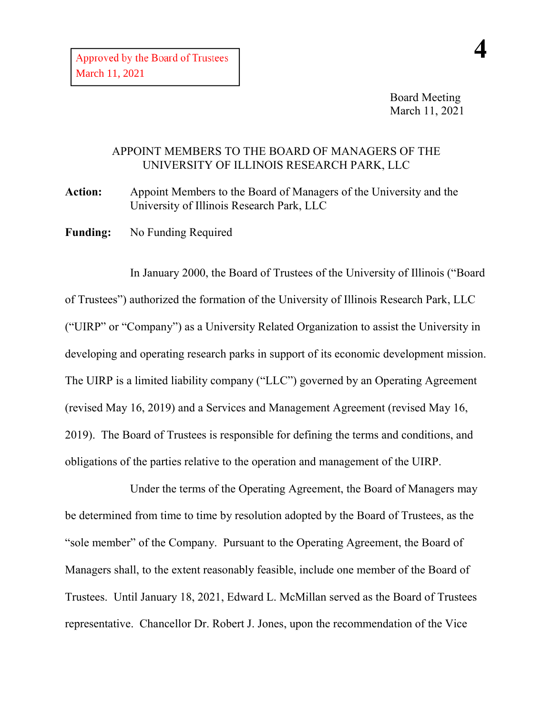## APPOINT MEMBERS TO THE BOARD OF MANAGERS OF THE UNIVERSITY OF ILLINOIS RESEARCH PARK, LLC

**Action:** Appoint Members to the Board of Managers of the University and the University of Illinois Research Park, LLC

**Funding:** No Funding Required

In January 2000, the Board of Trustees of the University of Illinois ("Board of Trustees") authorized the formation of the University of Illinois Research Park, LLC ("UIRP" or "Company") as a University Related Organization to assist the University in developing and operating research parks in support of its economic development mission. The UIRP is a limited liability company ("LLC") governed by an Operating Agreement (revised May 16, 2019) and a Services and Management Agreement (revised May 16, 2019). The Board of Trustees is responsible for defining the terms and conditions, and obligations of the parties relative to the operation and management of the UIRP.

Under the terms of the Operating Agreement, the Board of Managers may be determined from time to time by resolution adopted by the Board of Trustees, as the "sole member" of the Company. Pursuant to the Operating Agreement, the Board of Managers shall, to the extent reasonably feasible, include one member of the Board of Trustees. Until January 18, 2021, Edward L. McMillan served as the Board of Trustees representative. Chancellor Dr. Robert J. Jones, upon the recommendation of the Vice